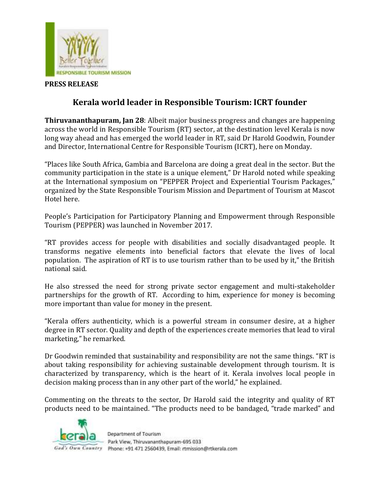

## **PRESS RELEASE**

## **Kerala world leader in Responsible Tourism: ICRT founder**

**Thiruvananthapuram, Jan 28**: Albeit major business progress and changes are happening across the world in Responsible Tourism (RT) sector, at the destination level Kerala is now long way ahead and has emerged the world leader in RT, said Dr Harold Goodwin, Founder and Director, International Centre for Responsible Tourism (ICRT), here on Monday.

"Places like South Africa, Gambia and Barcelona are doing a great deal in the sector. But the community participation in the state is a unique element," Dr Harold noted while speaking at the International symposium on "PEPPER Project and Experiential Tourism Packages," organized by the State Responsible Tourism Mission and Department of Tourism at Mascot Hotel here.

People's Participation for Participatory Planning and Empowerment through Responsible Tourism (PEPPER) was launched in November 2017.

"RT provides access for people with disabilities and socially disadvantaged people. It transforms negative elements into beneficial factors that elevate the lives of local population. The aspiration of RT is to use tourism rather than to be used by it," the British national said.

He also stressed the need for strong private sector engagement and multi-stakeholder partnerships for the growth of RT. According to him, experience for money is becoming more important than value for money in the present.

"Kerala offers authenticity, which is a powerful stream in consumer desire, at a higher degree in RT sector. Quality and depth of the experiences create memories that lead to viral marketing," he remarked.

Dr Goodwin reminded that sustainability and responsibility are not the same things. "RT is about taking responsibility for achieving sustainable development through tourism. It is characterized by transparency, which is the heart of it. Kerala involves local people in decision making process than in any other part of the world," he explained.

Commenting on the threats to the sector, Dr Harold said the integrity and quality of RT products need to be maintained. "The products need to be bandaged, "trade marked" and



Department of Tourism Park View, Thiruvananthapuram-695 033 God's Own Country Phone: +91 471 2560439, Email: rtmission@rtkerala.com